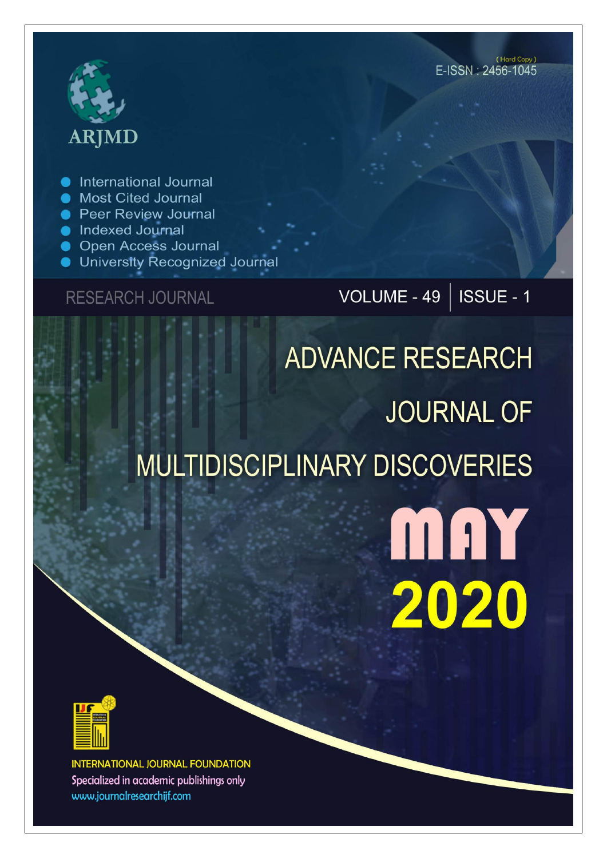# **ARJMD**

International Journal

- Most Cited Journal
- **Peer Review Journal**
- lndexed Journal
- Open Access Journal
- University Recognized Journal

**RESEARCH JOURNAL** 

## VOLUME - 49 | ISSUE - 1

# **ADVANCE RESEARCH JOURNAL OF** MULTIDISCIPLINARY DISCOVERIES

MAY 2020



**INTERNATIONAL JOURNAL FOUNDATION** Specialized in academic publishings only www.journalresearchijf.com

(Hard Copy) E-ISSN: 2456-1045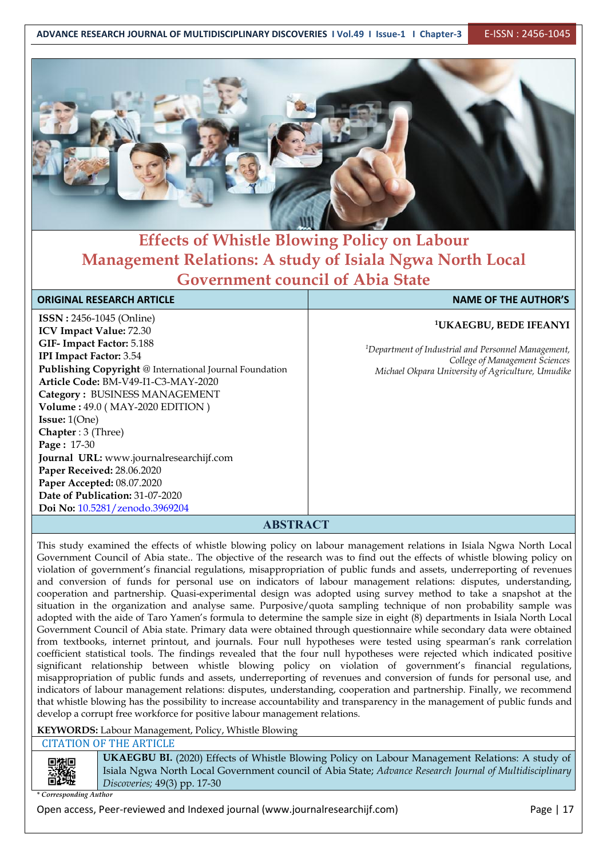

#### **Effects of Whistle Blowing Policy on Labour Management Relations: A study of Isiala Ngwa North Local Government council of Abia State**

#### **ORIGINAL RESEARCH ARTICLE NAME OF THE AUTHOR'S**

**ISSN :** 2456-1045 (Online) **ICV Impact Value:** 72.30 **GIF- Impact Factor:** 5.188 **IPI Impact Factor:** 3.54 **Publishing Copyright** @ International Journal Foundation **Article Code:** BM-V49-I1-C3-MAY-2020 **Category :** BUSINESS MANAGEMENT **Volume :** 49.0 ( MAY-2020 EDITION ) **Issue:** 1(One) **Chapter** : 3 (Three) **Page :** 17-30 **Journal URL:** www.journalresearchijf.com **Paper Received:** 28.06.2020 **Paper Accepted:** 08.07.2020 **Date of Publication:** 31-07-2020 **Doi No:** [10.5281/zenodo.3969204](https://doi.org/10.5281/zenodo.3969204
)

#### **<sup>1</sup>UKAEGBU, BEDE IFEANYI**

<sup>1</sup>Department of Industrial and Personnel Management, *College of Management Sciences Michael Okpara University of Agriculture, Umudike*

#### **ABSTRACT**

This study examined the effects of whistle blowing policy on labour management relations in Isiala Ngwa North Local Government Council of Abia state.. The objective of the research was to find out the effects of whistle blowing policy on violation of government's financial regulations, misappropriation of public funds and assets, underreporting of revenues and conversion of funds for personal use on indicators of labour management relations: disputes, understanding, cooperation and partnership. Quasi-experimental design was adopted using survey method to take a snapshot at the situation in the organization and analyse same. Purposive/quota sampling technique of non probability sample was adopted with the aide of Taro Yamen's formula to determine the sample size in eight (8) departments in Isiala North Local Government Council of Abia state. Primary data were obtained through questionnaire while secondary data were obtained from textbooks, internet printout, and journals. Four null hypotheses were tested using spearman's rank correlation coefficient statistical tools. The findings revealed that the four null hypotheses were rejected which indicated positive significant relationship between whistle blowing policy on violation of government's financial regulations, misappropriation of public funds and assets, underreporting of revenues and conversion of funds for personal use, and indicators of labour management relations: disputes, understanding, cooperation and partnership. Finally, we recommend that whistle blowing has the possibility to increase accountability and transparency in the management of public funds and develop a corrupt free workforce for positive labour management relations.

**KEYWORDS:** Labour Management, Policy, Whistle Blowing

CITATION OF THE ARTICLE

**UKAEGBU BI.** (2020) Effects of Whistle Blowing Policy on Labour Management Relations: A study of Isiala Ngwa North Local Government council of Abia State; *Advance Research Journal ofMultidisciplinary Discoveries;* 49(3) pp. 17-30

*\* Corresponding Author*

同类原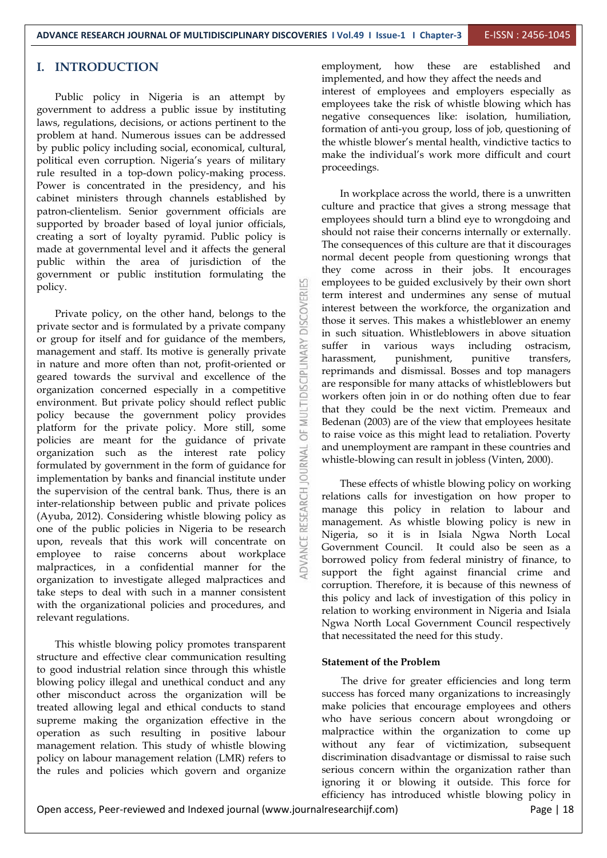#### **I. INTRODUCTION**

Public policy in Nigeria is an attempt by government to address a public issue by instituting laws, regulations, decisions, or actions pertinent to the problem at hand. Numerous issues can be addressed by public policy including social, economical, cultural, political even corruption. Nigeria's years of military rule resulted in a top-down policy-making process. Power is concentrated in the presidency, and his cabinet ministers through channels established by patron-clientelism. Senior government officials are supported by broader based of loyal junior officials, creating asort of loyalty pyramid. Public policy is made at governmental level and it affects the general public within the area of jurisdiction of the government or public institution formulating the policy.

Private policy, on the other hand, belongs to the  $\sum_{n=0}^{\infty}$  ate sector and is formulated by a private company private sector and is formulated by a private company or group for itself and for guidance of the members,<br>
management and staff. Its motive is generally private<br>
in such survival and excellence of the<br>
geared towards the survival and excellence of the<br>
organization concerned management and staff. Its motive is generally private  $\sum_{n=1}^{\infty}$  harassment, in nature and more often than not, profit-oriented or geared towards the survival and excellence of the organization concerned especially in a competitive environment. But private policy should reflect public policy because the government policy provides platform for the private policy. More still, some  $\overline{a}$ policies are meant for the guidance of private<br>organization such as the interest rate policy<br>formulated by government in the form of guidance for<br>implementation by banks and financial institute under organization such as the interest rate policy formulated by government in the form of guidance for implementation by banks and financial institute under the supervision of the central bank. Thus, there is an inter-relationship between public and private polices (Ayuba, 2012). Considering whistle blowing policy as one of the public policies in Nigeria to be research inter-relationship between public and private polices (Ayuba, 2012). Considering whistle blowing policy as one of the public policies in Nigeria to be research upon, reveals that this work will concentrate on employee to raise concerns about workplace malpractices, in a confidential manner for the organization to investigate alleged malpractices and take steps to deal with such in a manner consistent with the organizational policies and procedures, and relevant regulations.

This whistle blowing policy promotes transparent structure and effective clear communication resulting to good industrial relation since through this whistle blowing policy illegal and unethical conduct and any other misconduct across the organization will be treated allowing legal and ethical conducts to stand supreme making the organization effective in the operation as such resulting in positive labour management relation. This study of whistle blowing policy on labour management relation (LMR) refers to the rules and policies which govern and organize employment, how these are established and implemented, and how they affect the needs and interest of employees and employers especially as employees take the risk of whistle blowing which has negative consequences like: isolation, humiliation, formation of anti-you group, loss of job, questioning of the whistle blower's mental health, vindictive tactics to make the individual's work more difficult and court proceedings.

In workplace across the world, there is a unwritten culture and practice that gives a strong message that employees should turn a blind eye to wrongdoing and should not raise their concerns internally or externally. The consequences of this culture are that it discourages normal decent people from questioning wrongs that they come across in their jobs. It encourages employees to be guided exclusively by their own short term interest and undermines any sense of mutual interest between the workforce, the organization and those it serves.This makes a whistleblower an enemy in such situation. Whistleblowers in above situation rious ways including ostracism,<br>punishment, punitive transfers, reprimands and dismissal. Bosses and top managers are responsible for many attacks of whistleblowers but workers often join in or do nothing often due to fear that they could be the next victim. Premeaux and Bedenan (2003) are of the view that employees hesitate to raise voice as this might lead to retaliation. Poverty and unemployment are rampant in these countries and whistle-blowing can result in jobless (Vinten, 2000).

These effects of whistle blowing policy on working relations calls for investigation on how proper to manage this policy in relation to labour and management. As whistle blowing policy is new in Nigeria, so it is in Isiala Ngwa North Local Government Council. It could also be seen as a borrowed policy from federal ministry of finance, to support the fight against financial crime and corruption. Therefore, it is because of this newness of this policy and lack of investigation of this policy in relation to working environment in Nigeria and Isiala Ngwa North Local Government Council respectively that necessitated the need for this study.

#### **Statement of the Problem**

The drive for greater efficiencies and long term success has forced many organizations to increasingly make policies that encourage employees and others who have serious concern about wrongdoing or malpractice within the organization to come up without any fear of victimization, subsequent discrimination disadvantage or dismissal to raise such serious concern within the organization rather than ignoring it or blowing it outside. This force for efficiency has introduced whistle blowing policy in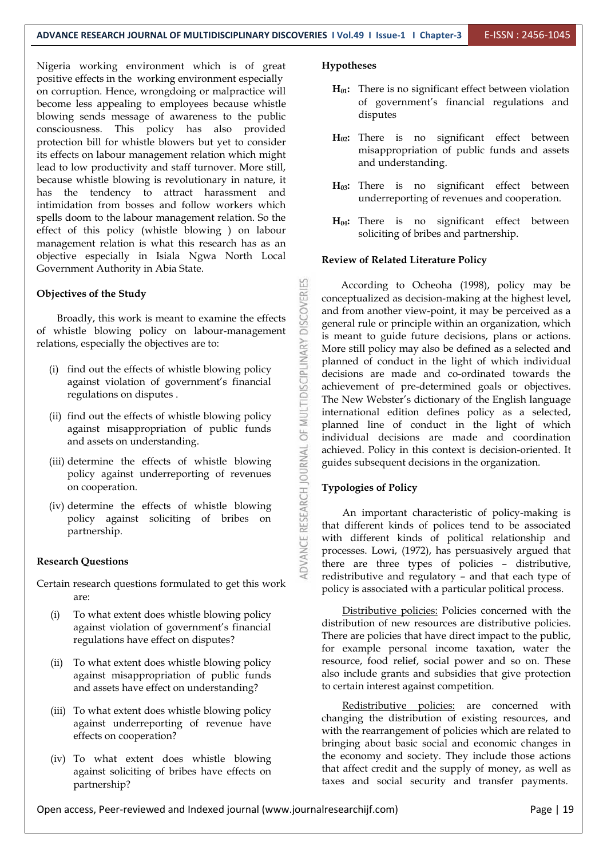Nigeria working environment which is of great positive effects in the working environment especially on corruption. Hence, wrongdoing or malpractice will become less appealing to employees because whistle blowing sends message of awareness to the public consciousness. This policy has also provided protection bill for whistle blowers but yet to consider its effects on labour management relation which might lead to low productivity and staff turnover. More still, because whistle blowing is revolutionary in nature, it has the tendency to attract harassment and intimidation from bosses and follow workers which spells doom to the labour management relation. So the effect of this policy (whistle blowing ) on labour management relation is what this research has as an objective especially in Isiala Ngwa North Local Government Authority in Abia State.

#### **Objectives of the Study**

ectives of the Study<br>Broadly, this work is meant to examine the effects<br>whistle blowing policy on labour-management relations, especially the objectives are to:

- (i) find out the effects of whistle blowing policy against violation of government's financial regulations on disputes .
- (ii) find out the effects of whistle blowing policy against misappropriation of public funds and assets on understanding.
- (iii) determine the effects of whistle blowing policy against underreporting of revenues on cooperation.
- of whistle blowing policy on labour-management<br>relations, especially the objectives are to:<br>(i) find out the effects of whistle blowing policy<br>against violation of government's financial<br>regulations on disputes.<br>(ii) find (iv) determine the effects of whistle blowing policy against soliciting of bribes on partnership.

#### **Research Questions**

- Certain research questions formulated to get this work are:
	- (i) To what extent does whistle blowing policy against violation of government's financial regulations have effect on disputes?
	- (ii) To what extent does whistle blowing policy against misappropriation of public funds and assets have effect on understanding?
	- (iii) To what extent does whistle blowing policy against underreporting of revenue have effects on cooperation?
	- (iv) To what extent does whistle blowing against soliciting of bribes have effects on partnership?

#### **Hypotheses**

- **H01:** There is no significant effect between violation of government's financial regulations and disputes
- **H02:** There is no significant effect between misappropriation of public funds and assets and understanding.
- **H03:** There is no significant effect between underreporting of revenues and cooperation.
- **H04:** There is no significant effect between soliciting of bribes and partnership.

#### **Review of Related Literature Policy**

According to Ocheoha (1998), policy may be conceptualized as decision-making at the highest level, and from another view-point, it may be perceived as a general rule or principle within an organization, which is meant to guide future decisions, plans or actions. More still policy may also be defined as a selected and planned of conduct in the light of which individual decisions are made and co-ordinated towards the achievement of pre-determined goals or objectives. The New Webster's dictionary of the English language international edition defines policy as a selected, planned line of conduct in the light of which individual decisions are made and coordination achieved. Policy in this context is decision-oriented. It guides subsequent decisions in the organization.

#### **Typologies of Policy**

An important characteristic of policy-making is that different kinds of polices tend to be associated with different kinds of political relationship and processes. Lowi, (1972), has persuasively argued that there are three types of policies – distributive, redistributive and regulatory – and that each type of policy is associated with a particular political process.

Distributive policies: Policies concerned with the distribution of new resources are distributive policies. There are policies that have direct impact to the public, for example personal income taxation, water the resource, food relief, social power and so on. These also include grants and subsidies that give protection to certain interest against competition.

Redistributive policies: are concerned with changing the distribution of existing resources, and with the rearrangement of policies which are related to bringing about basic social and economic changes in the economy and society. They include those actions that affect credit and the supply of money, as well as taxes and social security and transfer payments.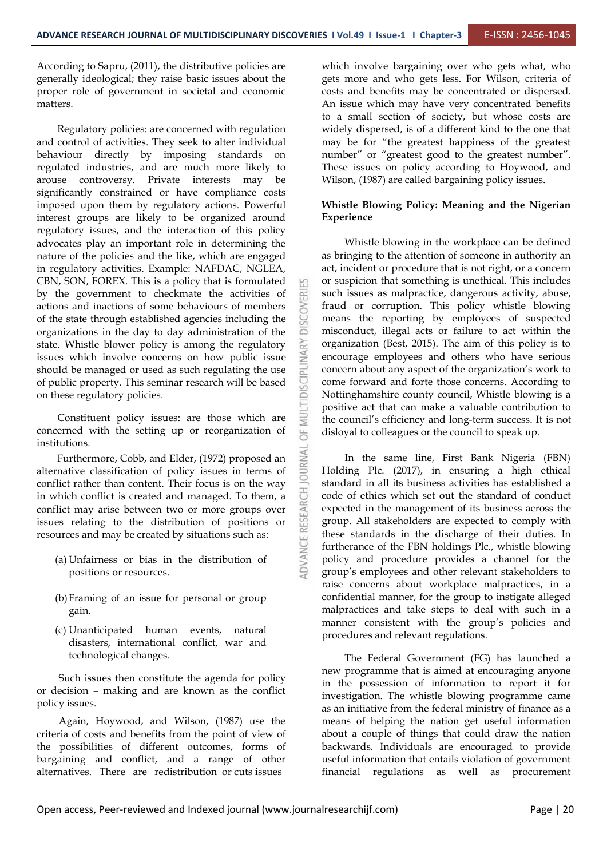According to Sapru, (2011), the distributive policies are generally ideological; they raise basic issues about the proper role of government in societal and economic matters.

Regulatory policies: are concerned with regulation and control of activities. They seek to alter individual behaviour directly by imposing standards on regulated industries, and are much more likely to arouse controversy. Private interests may be significantly constrained or have compliance costs imposed upon them by regulatory actions. Powerful interest groups are likely to be organized around regulatory issues, and the interaction of this policy advocates play an important role in determining the nature of the policies and the like, which are engaged in regulatory activities. Example: NAFDAC, NGLEA, CBN, SON, FOREX. This is a policy that is formulated and by the government to checkmate the activities of actions and inactions of some behaviours of members of the state through established agencies including the actions and inactions of some behaviours of members of the state through established agencies including the organizations in the day to day administration of the state. Whistle blower policy is among the regulatory issues which involve concerns on how public issue should be managed or used as such regulating the use state. Whistle blower policy is among the regulatory issues which involve concerns on how public issue should be managed or used as such regulating the use<br>of public property. This seminar research will be based of public property. This seminar research will be based on these regulatory policies.

Constituent policy issues: are those which are concerned with the setting up or reorganization of institutions.

Furthermore, Cobb, and Elder, (1972) proposed an<br>mative classification of policy issues in terms of alternative classification of policy issues in terms of conflict rather than content. Their focus is on the way<br>in which conflict is created and managed. To them, a<br>conflict may arise between two or more groups over<br>issues relating to the distribution of positions or<br>resources in which conflict is created and managed.To them, a conflict may arise between two or more groups over issues relating to the distribution of positions or resources and may be created by situations such as:

- (a) Unfairness or bias in the distribution of positions or resources.
- (b)Framing of an issue for personal or group gain.
- (c) Unanticipated human events, natural disasters, international conflict, war and technological changes.

Such issues then constitute the agenda for policy or decision – making and are known as the conflict policy issues.

Again, Hoywood, and Wilson, (1987) use the criteria of costs and benefits from the point of view of the possibilities of different outcomes, forms of bargaining and conflict, and a range of other alternatives. There are redistribution or cuts issues

which involve bargaining over who gets what, who gets more and who gets less. For Wilson, criteria of costs and benefits may be concentrated or dispersed. An issue which may have very concentrated benefits to a small section of society, but whose costs are widely dispersed, is of a different kind to the one that may be for "the greatest happiness of the greatest number" or "greatest good to the greatest number". These issues on policy according to Hoywood, and Wilson, (1987) are called bargaining policy issues.

#### **Whistle Blowing Policy: Meaning and the Nigerian Experience**

Whistle blowing in the workplace can be defined as bringing to the attention of someone in authority an act, incident or procedure that is not right, or a concern or suspicion that something is unethical. This includes such issues as malpractice, dangerous activity, abuse, fraud or corruption. This policy whistle blowing means the reporting by employees of suspected misconduct, illegal acts or failure to act within the organization (Best, 2015). The aim of this policy is to encourage employees and others who have serious concern about any aspect of the organization's work to come forward and forte those concerns. According to Nottinghamshire county council, Whistle blowing is a positive act that can make a valuable contribution to the council's efficiency and long-term success. It is not disloyal to colleagues or the council to speak up.

In the same line, First Bank Nigeria (FBN) Holding Plc. (2017), in ensuring a high ethical standard in all its business activities has established a code of ethics which set out the standard of conduct expected in the management of its business across the group. All stakeholders are expected to comply with these standards in the discharge of their duties. In furtherance of the FBN holdings Plc., whistle blowing policy and procedure provides a channel for the group's employees and other relevant stakeholders to raise concerns about workplace malpractices, in a confidential manner, for the group to instigate alleged malpractices and take steps to deal with such in a manner consistent with the group's policies and procedures and relevant regulations.

The Federal Government (FG) has launched a new programme that is aimed at encouraging anyone in the possession of information to report it for investigation. The whistle blowing programme came as an initiative from the federal ministry of finance as a means of helping the nation get useful information about a couple of things that could draw the nation backwards. Individuals are encouraged to provide useful information that entails violation of government financial regulations as well as procurement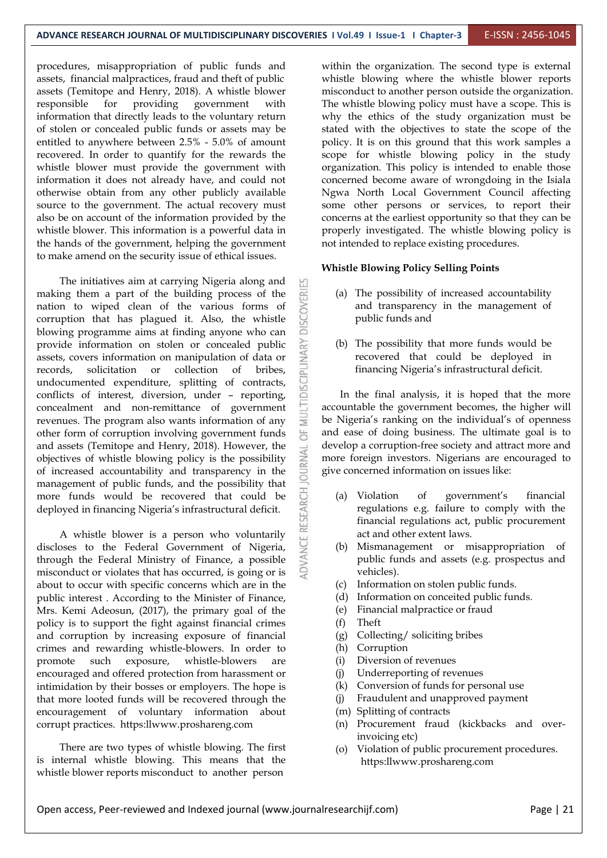procedures, misappropriation of public funds and assets, financial malpractices, fraud and theft of public assets (Temitope and Henry, 2018). A whistle blower information that directly leads to the voluntary return of stolen or concealed public funds or assets may be entitled to anywhere between  $2.5%$  -  $5.0%$  of amount recovered. In order to quantify for the rewards the whistle blower must provide the government with information it does not already have, and could not otherwise obtain from any other publicly available source to the government. The actual recovery must also be on account of the information provided by the whistle blower. This information is a powerful data in the hands of the government, helping the government to make amend on the security issue of ethical issues.

The initiatives aim at carrying Nigeria along and making them a part of the building process of the<br>nation to wiped clean of the various forms of<br>corruption that has plagued it. Also, the whistle<br>blowing programme aims at finding anyone who can nation to wiped clean of the various forms of corruption that has plagued it. Also, the whistle blowing programme aims at finding anyone who can<br>provide information on stolen or concealed public<br>assets, covers information on manipulation of data or<br>records, solicitation or collection of bribes,<br>undocumented expendit provide information on stolen or concealed public assets, covers information on manipulation of data or records, solicitation or collection of bribes, undocumented expenditure, splitting of contracts, conflicts of interest, diversion, under – reporting, concealment and non-remittance of government revenues. The program also wants information of any other form of corruption involving government funds  $\overline{\bigcirc}$ and assets (Temitope and Henry, 2018). However, the displacement of whistle blowing policy is the possibility  $\geq$  of increased accountability and transparency in the  $\geq$ objectives of whistle blowing policy is the possibility of increased accountability and transparency in the management of public funds, and the possibility that<br>more funds would be recovered that could be<br>deployed in financing Nigeria's infrastructural deficit. more funds would be recovered that could be  $\overline{C}$  (a) Violation deployed in financing Nigeria's infrastructural deficit.

A whistle blower is a person who voluntarily discloses to the Federal Government of Nigeria, through the Federal Ministry of Finance, a possible misconduct or violates that has occurred, is going or is about to occur with specific concerns which are in the  $(c)$ public interest . According to the Minister of Finance, Mrs. Kemi Adeosun, (2017), the primary goal of the policy is to support the fight against financial crimes (f) and corruption by increasing exposure of financial crimes and rewarding whistle-blowers. In order to promote such exposure, whistle-blowers are encouraged and offered protection from harassment or intimidation by their bosses or employers. The hope is that more looted funds will be recovered through the encouragement of voluntary information about corrupt practices. https:llwww.proshareng.com

There are two types of whistle blowing. The first is internal whistle blowing. This means that the whistle blower reports misconduct to another person

responsible for providing government with The whistle blowing policy must have a scope. This is within the organization. The second type is external whistle blowing where the whistle blower reports misconduct to another person outside the organization. why the ethics of the study organization must be stated with the objectives to state the scope of the policy. It is on this ground that this work samples a scope for whistle blowing policy in the study organization. This policy is intended to enable those concerned become aware of wrongdoing in the Isiala Ngwa North Local Government Council affecting some other persons or services, to report their concerns at the earliest opportunity so that they can be properly investigated. The whistle blowing policy is not intended to replace existing procedures.

#### **Whistle Blowing Policy Selling Points**

- (a) The possibility of increased accountability and transparency in the management of public funds and
- (b) The possibility that more funds would be recovered that could be deployed in financing Nigeria's infrastructural deficit.

In the final analysis, it is hoped that the more accountable the government becomes, the higher will be Nigeria's ranking on the individual's of openness and ease of doing business. The ultimate goal is to develop a corruption-free society and attract more and more foreign investors. Nigerians are encouraged to give concerned information on issues like:

- of government's financial regulations e.g. failure to comply with the financial regulations act, public procurement act and other extent laws.
- (b) Mismanagement or misappropriation of public funds and assets (e.g. prospectus and vehicles).
- Information on stolen public funds.
- (d) Information on conceited public funds.
- Financial malpractice or fraud
- (f) Theft
- Collecting/ soliciting bribes
- Corruption
- Diversion of revenues
- Underreporting of revenues
- Conversion of funds for personal use
- Fraudulent and unapproved payment
- (m) Splitting of contracts
- (n) Procurement fraud (kickbacks and overinvoicing etc)
- (o) Violation of public procurement procedures. https:llwww.proshareng.com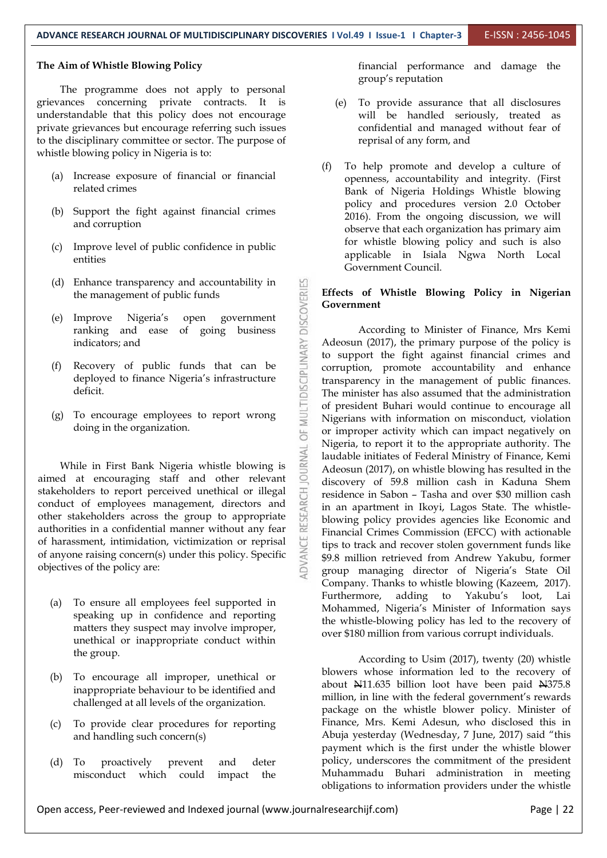#### **The Aim of Whistle Blowing Policy**

The programme does not apply to personal grievances concerning private contracts. It is understandable that this policy does not encourage private grievances but encourage referring such issues to the disciplinary committee or sector.The purpose of whistle blowing policy in Nigeria is to:

- (a) Increase exposure of financial or financial related crimes
- (b) Support the fight against financial crimes and corruption
- (c) Improve level of public confidence in public entities
- the management of public funds
- (e) Improve Nigeria's open government ranking and ease of going business indicators; and
- (d) Enhance transparency and accountability in<br>the management of public funds<br>(e) Improve Nigeria's open government<br>ranking and ease of going business<br>indicators; and<br>(f) Recovery of public funds that can be<br>deployed to f Recovery of public funds that can be deployed to finance Nigeria's infrastructure deficit.
- (g) To encourage employees to report wrong doing in the organization.

While in First Bank Nigeria whistle blowing is aimed at encouraging staff and other relevant stakeholders to report perceived unethical or illegal<br>conduct of employees management, directors and<br>other stakeholders across the group to appropriate<br>authorities in a confidential manner without any fear conduct of employees management, directors and other stakeholders across the group to appropriate authorities in a confidential manner without any fear of harassment, intimidation, victimization or reprisal of anyone raising concern(s) under this policy.Specific objectives of the policy are:

- (a) To ensure all employees feel supported in speaking up in confidence and reporting matters they suspect may involve improper, unethical or inappropriate conduct within the group.
- (b) To encourage all improper, unethical or inappropriate behaviour to be identified and challenged at all levels of the organization.
- (c) To provide clear procedures for reporting and handling such concern(s)
- (d) To proactively prevent and deter misconduct which could impact the

financial performance and damage the group's reputation

- (e) To provide assurance that all disclosures will be handled seriously, treated as confidential and managed without fear of reprisal of any form, and
- (f) To help promote and develop a culture of openness, accountability and integrity. (First Bank of Nigeria Holdings Whistle blowing policy and procedures version 2.0 October 2016). From the ongoing discussion, we will observe that each organization has primary aim for whistle blowing policy and such is also applicable in Isiala Ngwa North Local Government Council.

#### **Effects of Whistle Blowing Policy in Nigerian Government**

According to Minister of Finance, Mrs Kemi Adeosun (2017), the primary purpose of the policy is to support the fight against financial crimes and corruption, promote accountability and enhance transparency in the management of public finances. The minister has also assumed that the administration of president Buhari would continue to encourage all Nigerians with information on misconduct, violation or improper activity which can impact negatively on Nigeria, to report it to the appropriate authority. The laudable initiates of Federal Ministry of Finance, Kemi Adeosun (2017), on whistle blowing has resulted in the discovery of 59.8 million cash in Kaduna Shem residence in Sabon – Tasha and over \$30 million cash in an apartment in Ikoyi, Lagos State. The whistle blowing policy provides agencies like Economic and Financial Crimes Commission (EFCC) with actionable tips to track and recover stolen government funds like \$9.8 million retrieved from Andrew Yakubu, former group managing director of Nigeria's State Oil Company. Thanks to whistle blowing (Kazeem, 2017). Furthermore, adding to Yakubu's loot, Lai Mohammed, Nigeria's Minister of Information says the whistle-blowing policy has led to the recovery of over \$180 million from various corrupt individuals.

According to Usim (2017), twenty (20) whistle blowers whose information led to the recovery of about N11.635 billion loot have been paid N375.8 million, in line with the federal government's rewards package on the whistle blower policy. Minister of Finance, Mrs. Kemi Adesun, who disclosed this in Abuja yesterday (Wednesday, 7 June, 2017) said "this payment which is the first under the whistle blower policy, underscores the commitment of the president Muhammadu Buhari administration in meeting obligations to information providers under the whistle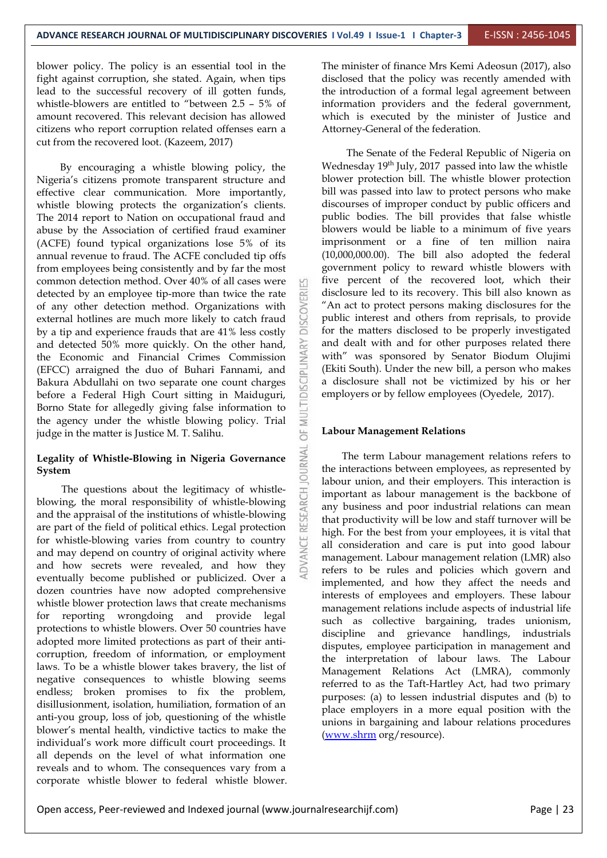blower policy. The policy is an essential tool in the fight against corruption, she stated. Again, when tips lead to the successful recovery of ill gotten funds, whistle-blowers are entitled to "between 2.5 – 5% of amount recovered. This relevant decision has allowed citizens who report corruption related offenses earn a cut from the recovered loot. (Kazeem, 2017)

By encouraging a whistle blowing policy, the Nigeria's citizens promote transparent structure and effective clear communication. More importantly, whistle blowing protects the organization's clients. The 2014 report to Nation on occupational fraud and abuse by the Association of certified fraud examiner (ACFE) found typical organizations lose 5% of its annual revenue to fraud. The ACFE concluded tip offs from employees being consistently and by far the most common detection method. Over 40% of all cases were detected by an employee tip-more than twice the rate of any other detection method. Organizations with<br>external hotlines are much more likely to catch fraud<br>by a tin and experience frauds that are 41% less costly external hotlines are much more likely to catch fraud by a tip and experience frauds that are 41% less costly and detected 50% more quickly. On the other hand,<br>the Economic and Financial Crimes Commission<br>(EFCC) arraigned the duo of Buhari Fannami, and the Economic and Financial Crimes Commission (EFCC) arraigned the duo of Buhari Fannami, and<br>Bakura Abdullahi on two separate one count charges<br>before a Federal High Court sitting in Maiduguri, Bakura Abdullahi on two separate one count charges before a Federal High Court sitting in Maiduguri, Borno State for allegedly giving false information to the agency under the whistle blowing policy. Trial  $\frac{1}{\infty}$  judge in the matter is Justice M. T. Salihu. judge in the matter is Justice M. T. Salihu.

### **Legality of Whistle-Blowing in Nigeria Governance System**

The questions about the legitimacy of whistle-<br>ing, the moral responsibility of whistle-blowing<br>the appraisal of the institutions of whistle-blowing<br>art of the field of political ethics. Legal protection blowing, the moral responsibility of whistle-blowing and the appraisal of the institutions of whistle-blowing are part of the field of political ethics. Legal protection for whistle-blowing varies from country to country and may depend on country of original activity where and how secrets were revealed, and how they eventually become published or publicized. Over a dozen countries have now adopted comprehensive whistle blower protection laws that create mechanisms for reporting wrongdoing and provide legal protections to whistle blowers. Over 50 countries have adopted more limited protections as part of their anti corruption, freedom of information, or employment laws. To be a whistle blower takes bravery, the list of negative consequences to whistle blowing seems endless; broken promises to fix the problem, disillusionment, isolation, humiliation, formation of an anti-you group, loss of job, questioning of the whistle blower's mental health, vindictive tactics to make the individual's work more difficult court proceedings. It all depends on the level of what information one reveals and to whom. The consequences vary from a corporate whistle blower to federal whistle blower.

The minister of finance Mrs Kemi Adeosun (2017), also disclosed that the policy was recently amended with the introduction of a formal legal agreement between information providers and the federal government, which is executed by the minister of Justice and Attorney-General of the federation.

The Senate of the Federal Republic of Nigeria on Wednesday 19<sup>th</sup> July, 2017 passed into law the whistle blower protection bill. The whistle blower protection bill was passed into law to protect persons who make discourses of improper conduct by public officers and public bodies. The bill provides that false whistle blowers would be liable to a minimum of five years imprisonment or a fine of ten million naira (10,000,000.00). The bill also adopted the federal government policy to reward whistle blowers with five percent of the recovered loot, which their disclosure led to its recovery. This bill also known as "An act to protect persons making disclosures for the public interest and others from reprisals, to provide for the matters disclosed to be properly investigated and dealt with and for other purposes related there with" was sponsored by Senator Biodum Olujimi (Ekiti South). Under the new bill, a person who makes a disclosure shall not be victimized by his or her employers or by fellow employees (Oyedele, 2017).

#### **Labour Management Relations**

The term Labour management relations refers to the interactions between employees, as represented by labour union, and their employers. This interaction is important as labour management is the backbone of any business and poor industrial relations can mean that productivity will be low and staff turnover will be high. For the best from your employees, it is vital that all consideration and care is put into good labour management. Labour management relation (LMR) also refers to be rules and policies which govern and implemented, and how they affect the needs and interests of employees and employers. These labour management relations include aspects of industrial life such as collective bargaining, trades unionism, discipline and grievance handlings, industrials disputes, employee participation in management and the interpretation of labour laws. The Labour Management Relations Act (LMRA), commonly referred to as the Taft-Hartley Act, had two primary purposes: (a) to lessen industrial disputes and (b) to place employers in a more equal position with the unions in bargaining and labour relations procedures ([www.shrm](http://www.shrm) org/resource).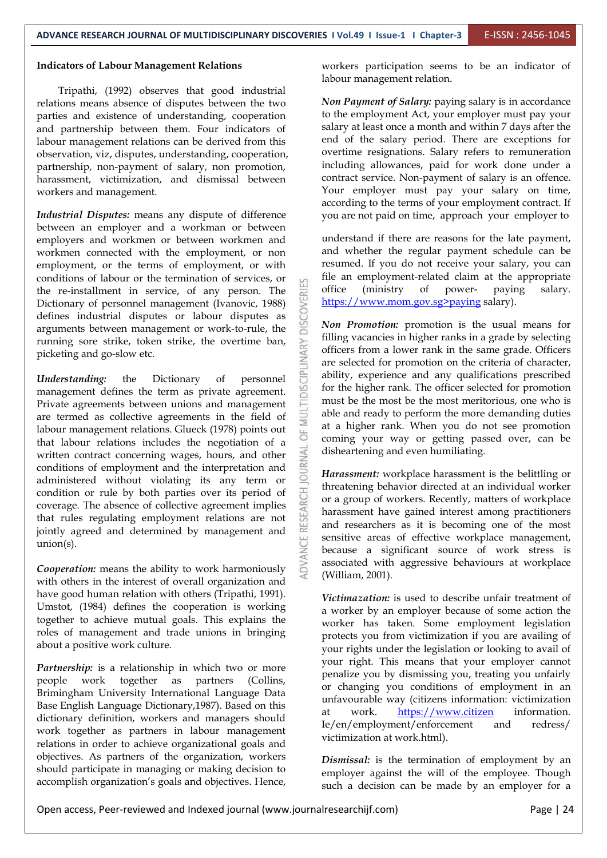#### **Indicators of Labour Management Relations**

Tripathi, (1992) observes that good industrial relations means absence of disputes between the two parties and existence of understanding, cooperation and partnership between them. Four indicators of labour management relations can be derived from this observation, viz, disputes, understanding, cooperation, partnership, non-payment of salary, non promotion, harassment, victimization, and dismissal between workers and management.

*Industrial Disputes:* means any dispute of difference between an employer and a workman or between employers and workmen or between workmen and workmen connected with the employment, or non employment, or the terms of employment, or with conditions of labour or the termination of services, or the re-installment in service, of any person. The discussion of personnel management (Ivanovic, 1988) defines industrial disputes or labour disputes as arguments between management or work-to-rule, the  $\frac{1}{2}$   $\frac{1}{2}$ Dictionary of personnel management (Ivanovic, 1988) defines industrial disputes or labour disputes as arguments between management or work-to-rule, the picketing and go-slow etc.

running sore strike, token strike, the overtime ban,<br>picketing and go-slow etc.<br>*Inderstanding*: the Dictionary of personnel management defines the term as private agreement. *Understanding:* the Dictionary of personnel management defines the term as private agreement. Private agreements between unions and management are termed as collective agreements in the field of labour management relations. Glueck (1978) points out that labour relations includes the negotiation of a<br>written contract concerning wages, hours, and other<br>conditions of employment and the interpretation and<br>administered without violating its any term or written contract concerning wages, hours, and other conditions of employment and the interpretation and administered without violating its any term or condition or rule by both parties over its period of  $\frac{15}{10}$  coverage. The absence of collective agreement implies that rules regulating employment relations are not join condition or rule by both parties over its period of coverage. The absence of collective agreement implies that rules regulating employment relations are not jointly agreed and determined by management and union(s).

*Cooperation:* means the ability to work harmoniously with others in the interest of overall organization and have good human relation with others (Tripathi, 1991). Umstot, (1984) defines the cooperation is working together to achieve mutual goals. This explains the roles of management and trade unions in bringing about a positive work culture.

Partnership: is a relationship in which two or more people work together as partners (Collins, Brimingham University International Language Data Base English Language Dictionary,1987). Based on this dictionary definition, workers and managers should work together as partners in labour management relations in order to achieve organizational goals and objectives. As partners of the organization, workers should participate in managing or making decision to accomplish organization's goals and objectives. Hence,

workers participation seems to be an indicator of labour management relation.

*Non Payment of Salary:* paying salary is in accordance to the employment Act, your employer must pay your salary at least once a month and within 7 days after the end of the salary period. There are exceptions for overtime resignations. Salary refers to remuneration including allowances, paid for work done under a contract service. Non-payment of salary is an offence. Your employer must pay your salary on time, according to the terms of your employment contract. If you are not paid on time, approach your employer to

understand if there are reasons for the late payment, and whether the regular payment schedule can be resumed. If you do not receive your salary, you can file an employment-related claim at the appropriate (ministry of power- paying salary. https://www.mom.gov.sg>paying salary).

*Non Promotion:* promotion is the usual means for filling vacancies in higher ranks in a grade by selecting officers from a lower rank in the same grade. Officers are selected for promotion on the criteria of character, ability, experience and any qualifications prescribed for the higher rank. The officer selected for promotion must be the most be the most meritorious, one who is able and ready to perform the more demanding duties at a higher rank. When you do not see promotion coming your way or getting passed over, can be disheartening and even humiliating.

*Harassment:* workplace harassment is the belittling or threatening behavior directed at an individual worker or a group of workers. Recently, matters of workplace harassment have gained interest among practitioners and researchers as it is becoming one of the most sensitive areas of effective workplace management, because a significant source of work stress is associated with aggressive behaviours at workplace (William, 2001).

*Victimazation:* is used to describe unfair treatment of a worker by an employer because of some action the worker has taken. Some employment legislation protects you from victimization if you are availing of your rights under the legislation or looking to avail of your right. This means that your employer cannot penalize you by dismissing you, treating you unfairly or changing you conditions of employment in an unfavourable way (citizens information: victimization <https://www.citizen> information. Ie/en/employment/enforcement and redress/ victimization at work.html).

*Dismissal:* is the termination of employment by an employer against the will of the employee. Though such a decision can be made by an employer for a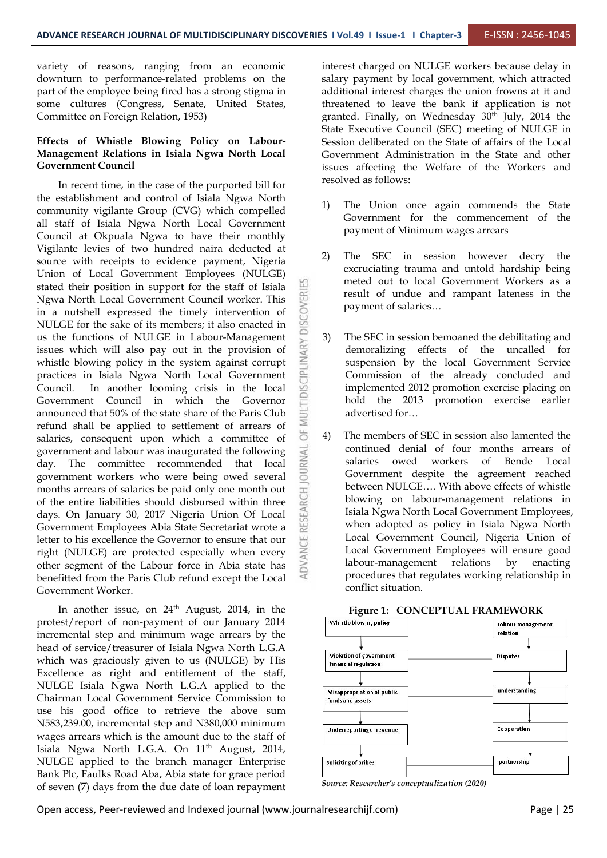variety of reasons, ranging from an economic downturn to performance-related problems on the part of the employee being fired has a strong stigma in some cultures (Congress, Senate, United States, Committee on Foreign Relation, 1953)

#### **Effects of Whistle Blowing Policy on Labour- Management Relations in Isiala Ngwa North Local Government Council**

In recent time, in the case of the purported bill for the establishment and control of Isiala Ngwa North community vigilante Group (CVG) which compelled all staff of Isiala Ngwa North Local Government Council at Okpuala Ngwa to have their monthly Vigilante levies of two hundred naira deducted at source with receipts to evidence payment, Nigeria Union of Local Government Employees (NULGE) stated their position in support for the staff of Isiala<br>Ngwa North Local Government Council worker. This<br>in a nutshell expressed the timely intervention of<br>NULGE for the sake of its members; it also enacted in Ngwa North Local Government Council worker. This in a nutshell expressed the timely intervention of NULGE for the sake of its members; it also enacted in us the functions of NULGE in Labour-Management issues which will also pay out in the provision of whistle blowing policy in the system against corrupt practices in Isiala Ngwa North Local Government Council. In another loo issues which will also pay out in the provision of whistle blowing policy in the system against corrupt practices in Isiala Ngwa North Local Government Council. In another looming crisis in the local Government Council in which the Governor announced that 50% of the state share of the Paris Club<br>refund aboll be conlied to extilement of errors of announced that 50% of the state share of the Paris Club refund shall be applied to settlement of arrears of  $\geq$  salaries. consequent upon which a committee of  $\geq$  4) salaries, consequent upon which a committee of government and labour was inaugurated the following day. The committee recommended that local government workers who were being owed several  $\frac{3}{2}$ government and labour was inaugurated the following day. The committee recommended that local government workers who were being owed several months arrears of salaries be paid only one month out<br>of the entire liabilities should disbursed within three<br>days. On January 30, 2017 Nigeria Union Of Local<br>Government Employees Abia State Secretariat wrote a of the entire liabilities should disbursed within three days. On January 30, 2017 Nigeria Union Of Local Government Employees Abia State Secretariat wrote a letter to his excellence the Governor to ensure that our right (NULGE) are protected especially when every other segment of the Labour force in Abia state has benefitted from the Paris Club refund except the Local Government Worker.

In another issue, on 24<sup>th</sup> August, 2014, in the **Figure** protest/report of non-payment of our January 2014 Whistle blowing policy incremental step and minimum wage arrears by the head of service/treasurer of Isiala Ngwa North L.G.A which was graciously given to us (NULGE) by His substantion of govern Excellence as right and entitlement of the staff, NULGE Isiala Ngwa North L.G.A applied to the Chairman Local Government Service Commission to use his good office to retrieve the above sum N583,239.00, incremental step and N380,000 minimum wages arrears which is the amount due to the staff of Isiala Ngwa North L.G.A. On  $11<sup>th</sup>$  August, 2014, NULGE applied to the branch manager Enterprise **Soliciting of bribes** Bank Plc, Faulks Road Aba, Abia state for grace period of seven (7) days from the due date of loan repayment

interest charged on NULGE workers because delay in salary payment by local government, which attracted additional interest charges the union frowns at it and threatened to leave the bank if application is not granted. Finally, on Wednesday 30<sup>th</sup> July, 2014 the State Executive Council (SEC) meeting of NULGE in Session deliberated on the State of affairs of the Local Government Administration in the State and other issues affecting the Welfare of the Workers and resolved as follows:

- The Union once again commends the State Government for the commencement of the payment of Minimum wages arrears
- The SEC in session however decry the excruciating trauma and untold hardship being meted out to local Government Workers as a result of undue and rampant lateness in the payment of salaries…
- The SEC in session bemoaned the debilitating and demoralizing effects of the uncalled for suspension by the local Government Service Commission of the already concluded and implemented 2012 promotion exercise placing on hold the 2013 promotion exercise earlier advertised for…
- The members of SEC in session also lamented the continued denial of four months arrears of salaries owed workers of Bende Local Government despite the agreement reached between NULGE…. With above effects of whistle blowing on labour-management relations in Isiala Ngwa North Local Government Employees, when adopted as policy in Isiala Ngwa North Local Government Council, Nigeria Union of Local Government Employees will ensure good labour-management relations by enacting procedures that regulates working relationship in conflict situation.



#### **Figure 1: CONCEPTUAL FRAMEWORK**

*Source: Researcher's conceptualization (2020)*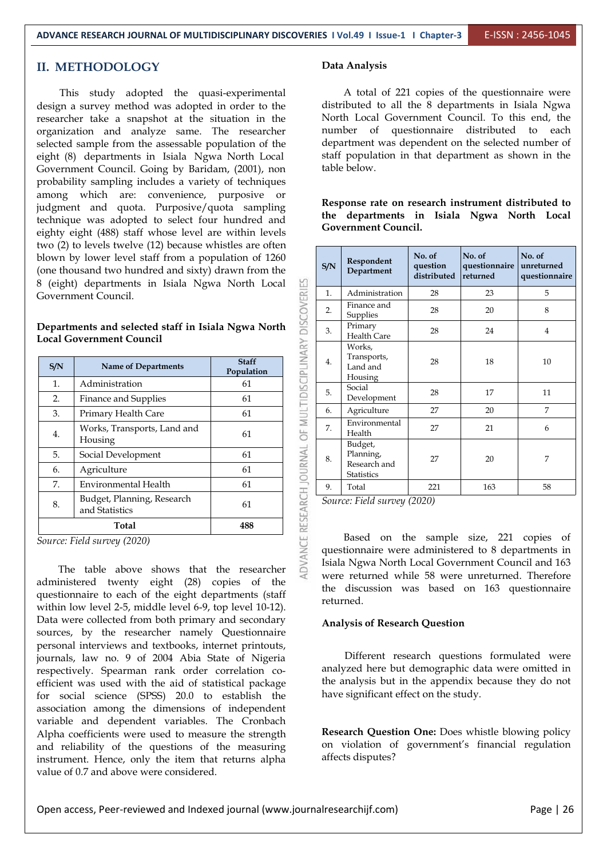#### **II. METHODOLOGY**

This study adopted the quasi-experimental design a survey method was adopted in order to the researcher take a snapshot at the situation in the organization and analyze same. The researcher selected sample from the assessable population of the eight (8) departments in Isiala Ngwa North Local Government Council. Going by Baridam, (2001), non probability sampling includes a variety of techniques among which are: convenience, purposive or judgment and quota. Purposive/quota sampling technique was adopted to select four hundred and eighty eight (488) staff whose level are within levels two (2) to levels twelve (12) because whistles are often blown by lower level staff from a population of 1260 (one thousand two hundred and sixty) drawn from the 8 (eight) departments in Isiala Ngwa North Local Government Council.

**Departments and selected staff in Isiala Ngwa North Local Government Council**

| S/N | Name of Departments                          | <b>Staff</b><br>Population | MULTIDISCIPLINA | 4. | Trar<br>Lan        |
|-----|----------------------------------------------|----------------------------|-----------------|----|--------------------|
| 1.  | Administration                               | 61                         |                 |    | Hou<br>Soci        |
| 2.  | Finance and Supplies                         | 61                         |                 | 5. | Dev                |
| 3.  | Primary Health Care                          | 61                         |                 | 6. | Agri               |
| 4.  | Works, Transports, Land and<br>Housing       | 61                         | ä               | 7. | Env:<br>Hea<br>Bud |
| 5.  | Social Development                           | 61                         |                 | 8. | Plan               |
| 6.  | Agriculture                                  | 61                         |                 |    | Rese<br>Stati      |
| 7.  | Environmental Health                         | 61                         |                 | 9. | Tota               |
| 8.  | Budget, Planning, Research<br>and Statistics | 61                         | ARCH JOURNAL    |    | Source: Fi         |
|     | Total                                        | 488                        |                 |    | $\mathbf{D}$       |

*Source: Field survey (2020)*

The table above shows that the researcher administered twenty eight (28) copies of the questionnaire to each of the eight departments (staff within low level 2-5, middle level 6-9, top level 10-12). Data were collected from both primary and secondary sources, by the researcher namely Questionnaire personal interviews and textbooks, internet printouts, journals, law no. 9 of 2004 Abia State of Nigeria respectively. Spearman rank order correlation co efficient was used with the aid of statistical package for social science (SPSS) 20.0 to establish the association among the dimensions of independent variable and dependent variables. The Cronbach Alpha coefficients were used to measure the strength and reliability of the questions of the measuring instrument. Hence, only the item that returns alpha value of 0.7 and above were considered.

#### **Data Analysis**

A total of 221 copies of the questionnaire were distributed to all the 8 departments in Isiala Ngwa North Local Government Council. To this end, the number of questionnaire distributed to each department was dependent on the selected number of staff population in that department as shown in the table below.

**Response rate on research instrument distributed to the departments in Isiala Ngwa North Local Government Council.**

| S/N | Respondent<br>Department                                  | No. of<br>question<br>distributed | No. of<br>questionnaire<br>returned | No. of<br>unreturned<br>questionnaire |
|-----|-----------------------------------------------------------|-----------------------------------|-------------------------------------|---------------------------------------|
| 1.  | Administration                                            | 28                                | 23                                  | 5                                     |
| 2.  | Finance and<br>Supplies                                   | 28                                | 20                                  | 8                                     |
| 3.  | Primary<br>Health Care                                    | 28                                | 24                                  | $\overline{4}$                        |
| 4.  | Works,<br>Transports,<br>Land and<br>Housing              | 28                                | 18                                  | 10                                    |
| 5.  | Social<br>Development                                     | 28                                | 17                                  | 11                                    |
| 6.  | Agriculture                                               | 27                                | 20                                  | 7                                     |
| 7.  | Environmental<br>Health                                   | 27                                | 21                                  | 6                                     |
| 8.  | Budget,<br>Planning,<br>Research and<br><b>Statistics</b> | 27                                | 20                                  | 7                                     |
| 9.  | Total                                                     | 221                               | 163                                 | 58                                    |

*Source: Field survey (2020)*

DVANCE RESEARCH JOURNAL OF MULTIDISCIPLINARY DISCOVERIES

Based on the sample size, 221 copies of questionnaire were administered to 8 departments in Isiala Ngwa North Local Government Council and 163 were returned while 58 were unreturned. Therefore the discussion was based on 163 questionnaire returned.

#### **Analysis of Research Question**

Different research questions formulated were analyzed here but demographic data were omitted in the analysis but in the appendix because they do not have significant effect on the study.

**Research Question One:** Does whistle blowing policy on violation of government's financial regulation affects disputes?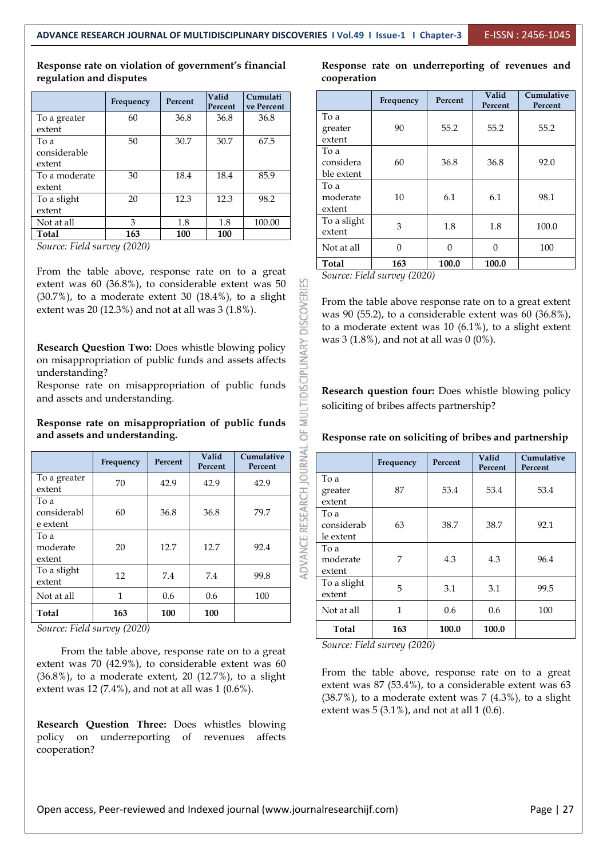#### **Response rate on violation of government's financial regulation and disputes**

|               | Frequency | Percent | Valid<br>Percent | Cumulati<br>ve Percent |             |
|---------------|-----------|---------|------------------|------------------------|-------------|
| To a greater  | 60        | 36.8    | 36.8             | 36.8                   | To a        |
| extent        |           |         |                  |                        | greater     |
| To a          | 50        | 30.7    | 30.7             | 67.5                   | extent      |
| considerable  |           |         |                  |                        | To a        |
| extent        |           |         |                  |                        | considera   |
| To a moderate | 30        | 18.4    | 18.4             | 85.9                   | ble extent  |
| extent        |           |         |                  |                        | To a        |
| To a slight   | 20        | 12.3    | 12.3             | 98.2                   | moderate    |
| extent        |           |         |                  |                        | extent      |
| Not at all    | 3         | 1.8     | 1.8              | 100.00                 | To a slight |
| <b>Total</b>  | 163       | 100     | 100              |                        | extent      |

*Source: Field survey (2020)*

From the table above, response rate on to a great extent was 60 (36.8%), to considerable extent was 50 (30.7%), to a moderate extent 30 (18.4%), to a slight extent was 20 (12.3%) and not at all was 3 (1.8%).  $(30.7\%)$ , to a moderate extent 30  $(18.4\%)$ , to a slight extent was 20 (12.3%) and not at all was 3 (1.8%).

| <b>Research Question Two:</b> Does whistle blowing policy<br>on misappropriation of public funds and assets affects<br>understanding?<br>Response rate on misappropriation of public funds<br>and assets and understanding.<br>Response rate on misappropriation of public funds<br>and assets and understanding. |           |         |                  |                       |                         | was 3 (1.<br>Research<br>soliciting<br><b>Respons</b> |
|-------------------------------------------------------------------------------------------------------------------------------------------------------------------------------------------------------------------------------------------------------------------------------------------------------------------|-----------|---------|------------------|-----------------------|-------------------------|-------------------------------------------------------|
|                                                                                                                                                                                                                                                                                                                   | Frequency | Percent | Valid<br>Percent | Cumulative<br>Percent |                         |                                                       |
| To a greater<br>extent                                                                                                                                                                                                                                                                                            | 70        | 42.9    | 42.9             | 42.9                  |                         | To a<br>greater                                       |
| To a<br>considerabl<br>e extent                                                                                                                                                                                                                                                                                   | 60        | 36.8    | 36.8             | 79.7                  |                         | extent<br>To a<br>considera                           |
| To a<br>moderate<br>extent                                                                                                                                                                                                                                                                                        | 20        | 12.7    | 12.7             | 92.4                  | ADVANCE RESEARCH JOURNA | le extent<br>To a<br>moderate                         |
| To a slight<br>extent                                                                                                                                                                                                                                                                                             | 12        | 7.4     | 7.4              | 99.8                  |                         | extent<br>To a sligh                                  |
| Not at all                                                                                                                                                                                                                                                                                                        | 1         | 0.6     | 0.6              | 100                   |                         | extent                                                |
| <b>Total</b>                                                                                                                                                                                                                                                                                                      | 163       | 100     | 100              |                       |                         | Not at all                                            |

*Source: Field survey (2020)*

From the table above, response rate on to a great extent was 70 (42.9%), to considerable extent was 60 (36.8%), to a moderate extent, 20 (12.7%), to a slight extent was 12 (7.4%), and not at all was 1 (0.6%).

**Research Question Three:** Does whistles blowing policy on underreporting of revenues affects cooperation?

**Response rate on underreporting of revenues and cooperation**

|                                 | Frequency | Percent      | Valid<br>Percent | Cumulative<br>Percent |
|---------------------------------|-----------|--------------|------------------|-----------------------|
| To a<br>greater<br>extent       | 90        | 55.2         | 55.2             | 55.2                  |
| To a<br>considera<br>ble extent | 60        | 36.8         | 36.8             | 92.0                  |
| To a<br>moderate<br>extent      | 10        | 6.1          | 6.1              | 98.1                  |
| To a slight<br>extent           | 3         | 1.8          | 1.8              | 100.0                 |
| Not at all                      | $\theta$  | $\mathbf{0}$ | $\theta$         | 100                   |
| Total                           | 163       | 100.0        | 100.0            |                       |

*Source: Field survey (2020)*

From the table above response rate on to a great extent was 90 (55.2), to a considerable extent was 60 (36.8%), to a moderate extent was  $10(6.1\%)$ , to a slight extent was 3 (1.8%), and not at all was 0 (0%).

**Research question four:** Does whistle blowing policy soliciting of bribes affects partnership?

**Response rate on soliciting of bribes and partnership**

|                                 | Frequency | Percent | Valid<br>Percent | Cumulative<br>Percent |
|---------------------------------|-----------|---------|------------------|-----------------------|
| To a<br>greater<br>extent       | 87        | 53.4    | 53.4             | 53.4                  |
| To a<br>considerab<br>le extent | 63        | 38.7    | 38.7             | 92.1                  |
| To a<br>moderate<br>extent      | 7         | 4.3     | 4.3              | 96.4                  |
| To a slight<br>extent           | 5         | 3.1     | 3.1              | 99.5                  |
| Not at all                      | 1         | 0.6     | 0.6              | 100                   |
| <b>Total</b>                    | 163       | 100.0   | 100.0            |                       |

*Source: Field survey (2020)*

From the table above, response rate on to a great extent was  $87$  (53.4%), to a considerable extent was  $63$  $(38.7\%)$ , to a moderate extent was  $7(4.3\%)$ , to a slight extent was  $5(3.1\%)$ , and not at all  $1(0.6)$ .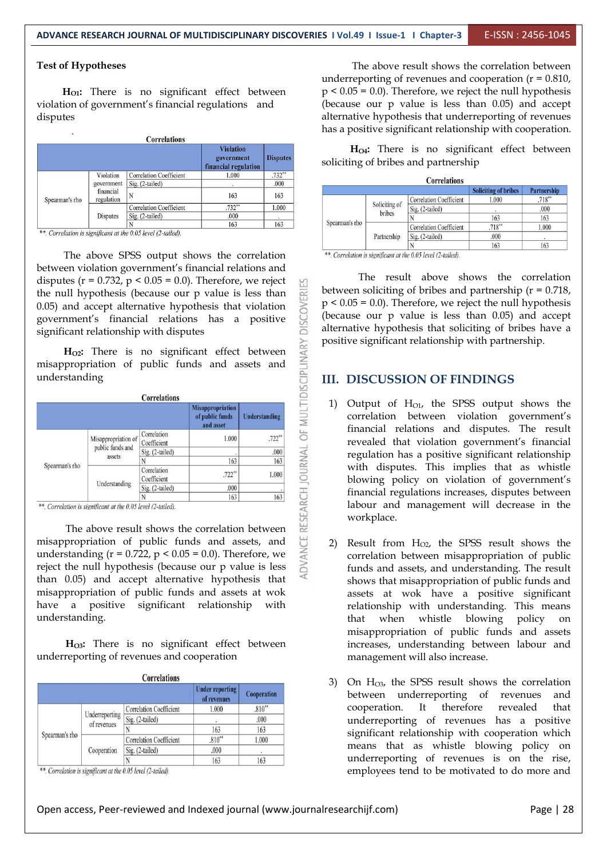#### **Test of Hypotheses**

**HO1:** There is no significant effect between violation of government's financial regulations and disputes

| ٠              |                                                    | <b>Correlations</b>            |                                                        |                 |
|----------------|----------------------------------------------------|--------------------------------|--------------------------------------------------------|-----------------|
|                |                                                    |                                | <b>Violation</b><br>government<br>financial regulation | <b>Disputes</b> |
|                | Violation<br>government<br>financial<br>regulation | <b>Correlation Coefficient</b> | 1.000                                                  | $.732**$        |
|                |                                                    | Sig. (2-tailed)                |                                                        | .000            |
| Spearman's rho |                                                    | N                              | 163                                                    | 163             |
|                | <b>Disputes</b>                                    | <b>Correlation Coefficient</b> | $.732**$                                               | 1.000           |
|                |                                                    | Sig. (2-tailed)                | .000                                                   |                 |
|                |                                                    | N                              | 163                                                    | 163             |

\*\*. Correlation is significant at the 0.05 level (2-tailed).

The above SPSS output shows the correlation **The above SPSS** output shows the correlation between violation government's financial relations and disputes ( $r = 0.732$ ,  $p < 0.05 = 0.0$ ). Therefore, we reject the null hypothesis (because our p value is less than 0.05) and accept alternative hypothesis that violation government's financial relations has a positive significant relationship with disputes 0.05) and accept alternative hypothesis that violation government's financial relations has a positive significant relationship with disputes

| Understanding |
|---------------|
| $.722**$      |
| .000          |
| 163           |
| 1.000         |
|               |
| 163           |
|               |

The above result shows the correlation between misappropriation of public funds and assets, and understanding ( $r = 0.722$ ,  $p < 0.05 = 0.0$ ). Therefore, we reject the null hypothesis (because our p value is less than 0.05) and accept alternative hypothesis that misappropriation of public funds and assets at wok have a positive significant relationship with understanding.

**HO3:** There is no significant effect between underreporting of revenues and cooperation

|                |                               | Correlations                   | <b>Under reporting</b><br>of revenues | Cooperation |
|----------------|-------------------------------|--------------------------------|---------------------------------------|-------------|
|                | Underreporting<br>of revenues | <b>Correlation Coefficient</b> | 1.000                                 | $.810**$    |
|                |                               | Sig. (2-tailed)                | ٠                                     | .000        |
|                |                               |                                | 163                                   | 163         |
| Spearman's rho | Cooperation                   | <b>Correlation Coefficient</b> | $.810**$                              | 1.000       |
|                |                               | Sig. (2-tailed)                | .000                                  |             |
|                |                               |                                | 163                                   | 163         |

\*\*. Correlation is significant at the 0.05 level (2-tailed).

The above result shows the correlation between underreporting of revenues and cooperation  $(r = 0.810)$ ,  $p \le 0.05 = 0.0$ . Therefore, we reject the null hypothesis (because our p value is less than 0.05) and accept alternative hypothesis that underreporting of revenues has a positive significant relationship with cooperation.

**HO4:** There is no significant effect between soliciting of bribes and partnership

|                |                         | <b>Correlations</b>            |                             |                    |
|----------------|-------------------------|--------------------------------|-----------------------------|--------------------|
|                |                         |                                | <b>Soliciting of bribes</b> | <b>Partnership</b> |
|                | Soliciting of<br>bribes | <b>Correlation Coefficient</b> | 1.000                       | $.718**$           |
|                |                         | Sig. (2-tailed)                |                             | .000               |
|                |                         |                                | 163                         | 163                |
| Spearman's rho | Partnership             | <b>Correlation Coefficient</b> | $.718***$                   | 1.000              |
|                |                         | Sig. (2-tailed)                | .000                        |                    |
|                |                         |                                | 163                         | 163                |

The result above shows the correlation between soliciting of bribes and partnership  $(r = 0.718)$ ,  $p < 0.05 = 0.0$ ). Therefore, we reject the null hypothesis (because our p value is less than 0.05) and accept alternative hypothesis that soliciting of bribes have a positive significant relationship with partnership.

#### **III. DISCUSSION OF FINDINGS**

- 1) Output of  $H<sub>01</sub>$ , the SPSS output shows the correlation between violation government's financial relations and disputes. The result revealed that violation government's financial regulation has a positive significant relationship with disputes. This implies that as whistle blowing policy on violation of government's financial regulations increases, disputes between labour and management will decrease in the workplace.
- 2) Result from  $H<sub>02</sub>$ , the SPSS result shows the correlation between misappropriation of public funds and assets, and understanding. The result shows that misappropriation of public funds and assets atwok have a positive significant relationship with understanding. This means that when whistle blowing policy on misappropriation of public funds and assets increases, understanding between labour and management will also increase.
- 3) On  $H<sub>03</sub>$ , the SPSS result shows the correlation between underreporting of revenues and cooperation. It therefore revealed that underreporting of revenues has a positive significant relationship with cooperation which means that as whistle blowing policy on underreporting of revenues is on the rise, employees tend to be motivated to do more and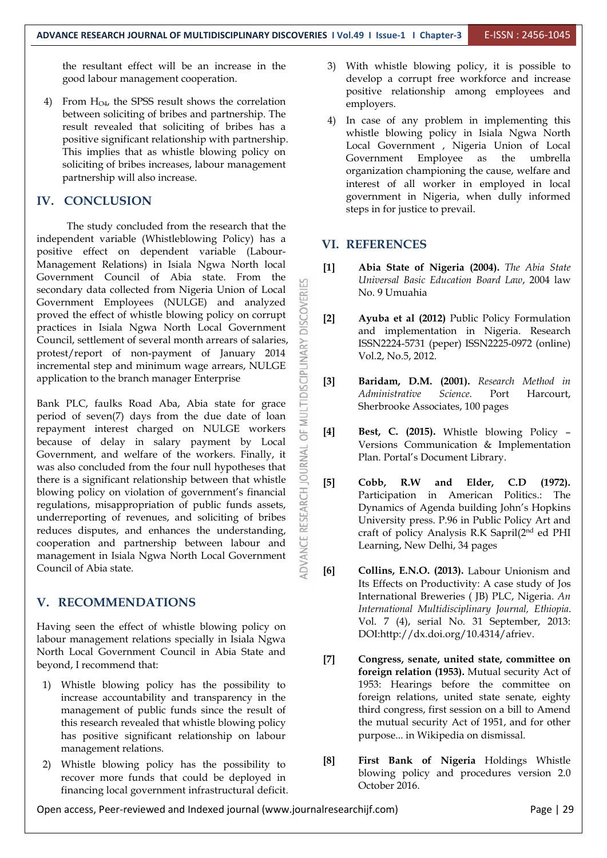the resultant effect will be an increase in the good labour management cooperation.

4) From  $H<sub>O4</sub>$ , the SPSS result shows the correlation between soliciting of bribes and partnership. The result revealed that soliciting of bribes has a positive significant relationship with partnership. This implies that as whistle blowing policy on soliciting of bribes increases, labour management partnership will also increase.

#### **IV. CONCLUSION**

The study concluded from the research that the independent variable (Whistleblowing Policy) has a positive effect on dependent variable (Labour- Management Relations) in Isiala Ngwa North local Government Council of Abia state. From the secondary data collected from Nigeria Union of Local<br>Government Employees (NULGE) and analyzed<br>proved the effect of whistle blowing policy on corrupt Government Employees (NULGE) and analyzed proved the effect of whistle blowing policy on corrupt [2] practices in Isiala Ngwa North Local Government Council, settlement of several month arrears of salaries,<br>
protest/report of non-payment of January 2014<br>
incremental step and minimum wage arrears, NULGE<br>
application to the branch manager Enterprise protest/report of non-payment of January 2014 incremental step and minimum wage arrears, NULGE application to the branch manager Enterprise  $\overline{Q}$  [3]

Bank PLC, faulks Road Aba, Abia state for grace Eperiod of seven(7) days from the due date of loan period of seven(7) days from the due date of loan repayment interest charged on NULGE workers [4] because of delay in salary payment by Local Government, and welfare of the workers. Finally, it was also concluded from the four null hypotheses that there is a significant relationship between that whistle Government, and welfare of the workers. Finally, it was also concluded from the four null hypotheses that there is a significant relationship between that whistle [5] Cobb,<br>blowing policy on violation of government's financial [5] Cobb,<br>regulations, misappropriation of public funds assets,<br>underreporting of revenues, and solic blowing policy on violation of government's financial regulations, misappropriation of public funds assets, underreporting of revenues, and soliciting of bribes reduces disputes, and enhances the understanding,<br>cooperation and partnership between labour and<br>management in Isiala Ngwa North Local Government<br>Council of Abia state. cooperation and partnership between labour and management in Isiala Ngwa North Local Government Council of Abia state.

#### **V. RECOMMENDATIONS**

Having seen the effect of whistle blowing policy on labour management relations specially in Isiala Ngwa North Local Government Council in Abia State and beyond, I recommend that:

- 1) Whistle blowing policy has the possibility to increase accountability and transparency in the management of public funds since the result of this research revealed that whistle blowing policy has positive significant relationship on labour management relations.
- 2) Whistle blowing policy has the possibility to [8] recover more funds that could be deployed in financing local government infrastructural deficit.
- 3) With whistle blowing policy, it is possible to develop a corrupt free workforce and increase positive relationship among employees and employers.
- In case of any problem in implementing this whistle blowing policy in Isiala Ngwa North Local Government , Nigeria Union of Local Government Employee as the umbrella organization championing the cause, welfare and interest of all worker in employed in local government in Nigeria, when dully informed steps in for justice to prevail.

#### **VI. REFERENCES**

- **[1] Abia State of Nigeria (2004).** *The Abia State Universal Basic Education Board Law*, 2004 law No. 9 Umuahia
- **[2] Ayuba et al (2012)** Public Policy Formulation and implementation in Nigeria. Research ISSN2224-5731 (peper) ISSN2225-0972 (online) Vol.2, No.5, 2012.
- **[3] Baridam, D.M. (2001).** *Research Method in Administrative Science*. Port Harcourt, Sherbrooke Associates, 100 pages
- **[4] Best, C. (2015).** Whistle blowing Policy Versions Communication & Implementation Plan. Portal's Document Library.
- **[5] Cobb, R.W and Elder, C.D (1972).** Participation in American Politics.: The Dynamics of Agenda building John's Hopkins University press. P.96 in Public Policy Art and craft of policy Analysis R.K Sapril(2 nd ed PHI Learning, New Delhi, 34 pages
- **[6] Collins, E.N.O. (2013).** Labour Unionism and Its Effects on Productivity: A case study of Jos International Breweries ( JB) PLC, Nigeria. *An International Multidisciplinary Journal, Ethiopia*. Vol. 7 (4), serial No. 31 September, 2013: DOI:http://dx.doi.org/10.4314/afriev.
- **[7] Congress, senate, united state, committee on foreign relation (1953).** Mutual security Act of 1953: Hearings before the committee on foreign relations, united state senate, eighty third congress, first session on a bill to Amend the mutual security Act of 1951, and for other purpose... in Wikipedia on dismissal.
- **[8] First Bank of Nigeria** Holdings Whistle blowing policy and procedures version 2.0 October 2016.